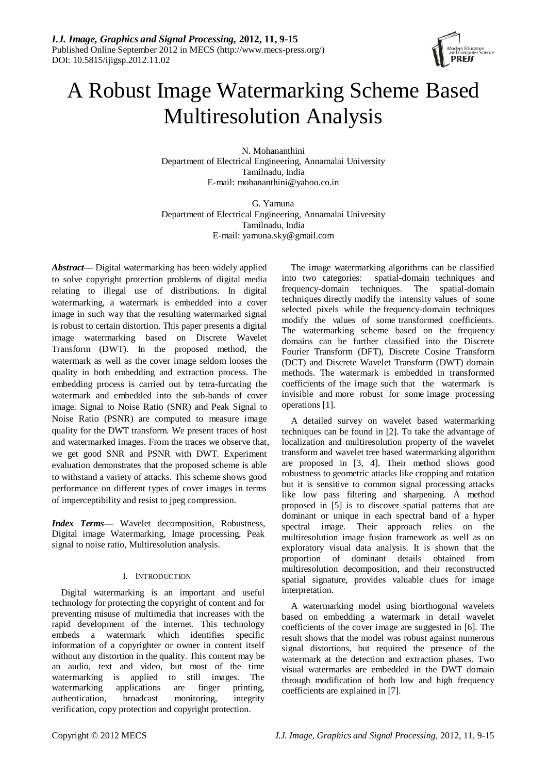

# A Robust Image Watermarking Scheme Based Multiresolution Analysis

N. Mohananthini Department of Electrical Engineering, Annamalai University Tamilnadu, India E-mail: mohananthini@yahoo.co.in

G. Yamuna Department of Electrical Engineering, Annamalai University Tamilnadu, India E-mail: yamuna.sky@gmail.com

*Abstract—* Digital watermarking has been widely applied to solve copyright protection problems of digital media relating to illegal use of distributions. In digital watermarking, a watermark is embedded into a cover image in such way that the resulting watermarked signal is robust to certain distortion. This paper presents a digital image watermarking based on Discrete Wavelet Transform (DWT). In the proposed method, the watermark as well as the cover image seldom looses the quality in both embedding and extraction process. The embedding process is carried out by tetra-furcating the watermark and embedded into the sub-bands of cover image. Signal to Noise Ratio (SNR) and Peak Signal to Noise Ratio (PSNR) are computed to measure image quality for the DWT transform. We present traces of host and watermarked images. From the traces we observe that, we get good SNR and PSNR with DWT. Experiment evaluation demonstrates that the proposed scheme is able to withstand a variety of attacks. This scheme shows good performance on different types of cover images in terms of imperceptibility and resist to jpeg compression.

*Index Terms—* Wavelet decomposition, Robustness, Digital image Watermarking, Image processing, Peak signal to noise ratio, Multiresolution analysis.

## I. INTRODUCTION

Digital watermarking is an important and useful technology for protecting the copyright of content and for preventing misuse of multimedia that increases with the rapid development of the internet. This technology embeds a watermark which identifies specific information of a copyrighter or owner in content itself without any distortion in the quality. This content may be an audio, text and video, but most of the time watermarking is applied to still images. The watermarking applications are finger printing, authentication, broadcast monitoring, integrity verification, copy protection and copyright protection.

The image watermarking algorithms can be classified into two categories: spatial-domain techniques and frequency-domain techniques. The spatial-domain techniques directly modify the intensity values of some selected pixels while the frequency-domain techniques modify the values of some transformed coefficients. The watermarking scheme based on the frequency domains can be further classified into the Discrete Fourier Transform (DFT), Discrete Cosine Transform (DCT) and Discrete Wavelet Transform (DWT) domain methods. The watermark is embedded in transformed coefficients of the image such that the watermark is invisible and more robust for some image processing operations [1].

A detailed survey on wavelet based watermarking techniques can be found in [2]. To take the advantage of localization and multiresolution property of the wavelet transform and wavelet tree based watermarking algorithm are proposed in [3, 4]. Their method shows good robustness to geometric attacks like cropping and rotation but it is sensitive to common signal processing attacks like low pass filtering and sharpening. A method proposed in [5] is to discover spatial patterns that are dominant or unique in each spectral band of a hyper spectral image. Their approach relies on the multiresolution image fusion framework as well as on exploratory visual data analysis. It is shown that the proportion of dominant details obtained from multiresolution decomposition, and their reconstructed spatial signature, provides valuable clues for image interpretation.

A watermarking model using biorthogonal wavelets based on embedding a watermark in detail wavelet coefficients of the cover image are suggested in [6]. The result shows that the model was robust against numerous signal distortions, but required the presence of the watermark at the detection and extraction phases. Two visual watermarks are embedded in the DWT domain through modification of both low and high frequency coefficients are explained in [7].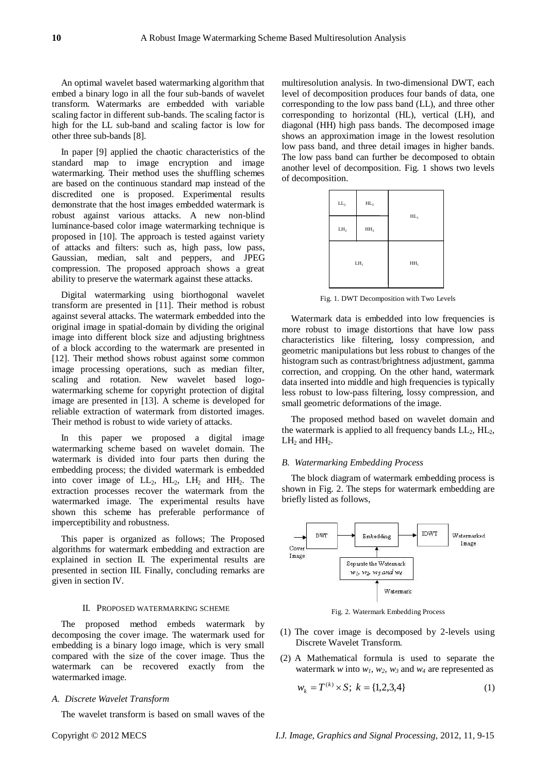An optimal wavelet based watermarking algorithm that embed a binary logo in all the four sub-bands of wavelet transform. Watermarks are embedded with variable scaling factor in different sub-bands. The scaling factor is high for the LL sub-band and scaling factor is low for other three sub-bands [8].

In paper [9] applied the chaotic characteristics of the standard map to image encryption and image watermarking. Their method uses the shuffling schemes are based on the continuous standard map instead of the discredited one is proposed. Experimental results demonstrate that the host images embedded watermark is robust against various attacks. A new non-blind luminance-based color image watermarking technique is proposed in [10]. The approach is tested against variety of attacks and filters: such as, high pass, low pass, Gaussian, median, salt and peppers, and JPEG compression. The proposed approach shows a great ability to preserve the watermark against these attacks.

Digital watermarking using biorthogonal wavelet transform are presented in [11]. Their method is robust against several attacks. The watermark embedded into the original image in spatial-domain by dividing the original image into different block size and adjusting brightness of a block according to the watermark are presented in [12]. Their method shows robust against some common image processing operations, such as median filter, scaling and rotation. New wavelet based logowatermarking scheme for copyright protection of digital image are presented in [13]. A scheme is developed for reliable extraction of watermark from distorted images. Their method is robust to wide variety of attacks.

In this paper we proposed a digital image watermarking scheme based on wavelet domain. The watermark is divided into four parts then during the embedding process; the divided watermark is embedded into cover image of  $LL_2$ ,  $HL_2$ ,  $LL_1$  and  $HH_2$ . The extraction processes recover the watermark from the watermarked image. The experimental results have shown this scheme has preferable performance of imperceptibility and robustness.

This paper is organized as follows; The Proposed algorithms for watermark embedding and extraction are explained in section II. The experimental results are presented in section III. Finally, concluding remarks are given in section IV.

## II. PROPOSED WATERMARKING SCHEME

The proposed method embeds watermark by decomposing the cover image. The watermark used for embedding is a binary logo image, which is very small compared with the size of the cover image. Thus the watermark can be recovered exactly from the watermarked image.

## *A. Discrete Wavelet Transform*

The wavelet transform is based on small waves of the

multiresolution analysis. In two-dimensional DWT, each level of decomposition produces four bands of data, one corresponding to the low pass band (LL), and three other corresponding to horizontal (HL), vertical (LH), and diagonal (HH) high pass bands. The decomposed image shows an approximation image in the lowest resolution low pass band, and three detail images in higher bands. The low pass band can further be decomposed to obtain another level of decomposition. Fig. 1 shows two levels of decomposition.



Fig. 1. DWT Decomposition with Two Levels

Watermark data is embedded into low frequencies is more robust to image distortions that have low pass characteristics like filtering, lossy compression, and geometric manipulations but less robust to changes of the histogram such as contrast/brightness adjustment, gamma correction, and cropping. On the other hand, watermark data inserted into middle and high frequencies is typically less robust to low-pass filtering, lossy compression, and small geometric deformations of the image.

The proposed method based on wavelet domain and the watermark is applied to all frequency bands  $LL_2$ ,  $HL_2$ ,  $LH_2$  and  $HH_2$ .

## *B. Watermarking Embedding Process*

The block diagram of watermark embedding process is shown in Fig. 2. The steps for watermark embedding are briefly listed as follows,



Fig. 2. Watermark Embedding Process

- (1) The cover image is decomposed by 2-levels using Discrete Wavelet Transform.
- (2) A Mathematical formula is used to separate the watermark *w* into  $w_1$ ,  $w_2$ ,  $w_3$  and  $w_4$  are represented as

$$
w_k = T^{(k)} \times S; \ k = \{1, 2, 3, 4\} \tag{1}
$$

Copyright © 2012 MECS *I.J. Image, Graphics and Signal Processing,* 2012, 11, 9-15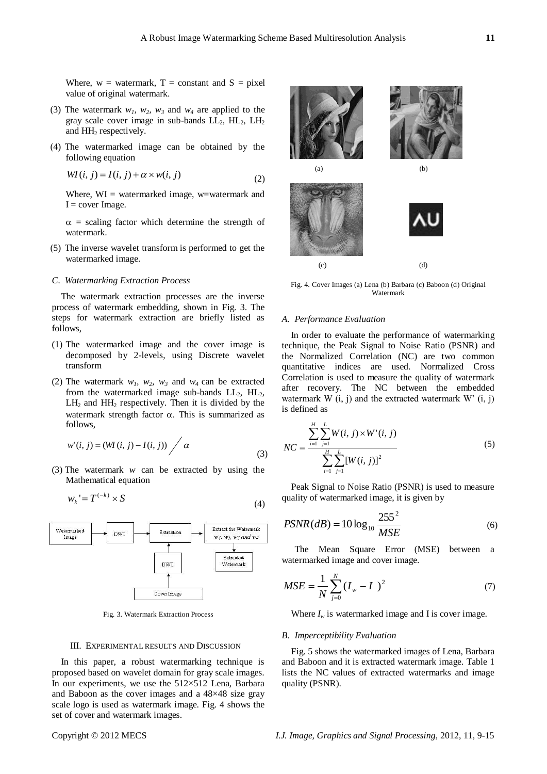Where,  $w = w \cdot \text{aternark}, T = \text{constant} \cdot \text{and} S = \text{pixel}$ value of original watermark.

- (3) The watermark  $w_1$ ,  $w_2$ ,  $w_3$  and  $w_4$  are applied to the gray scale cover image in sub-bands  $LL_2$ ,  $HL_2$ ,  $LH_2$ and HH<sub>2</sub> respectively.
- (4) The watermarked image can be obtained by the following equation

$$
WI(i, j) = I(i, j) + \alpha \times w(i, j)
$$
\n<sup>(2)</sup>

Where,  $WI = watermarked image, w=watermark and$  $I = cover Image.$ 

 $\alpha$  = scaling factor which determine the strength of watermark.

(5) The inverse wavelet transform is performed to get the watermarked image.

## *C. Watermarking Extraction Process*

The watermark extraction processes are the inverse process of watermark embedding, shown in Fig. 3. The steps for watermark extraction are briefly listed as follows,

- (1) The watermarked image and the cover image is decomposed by 2-levels, using Discrete wavelet transform
- (2) The watermark  $w_1$ ,  $w_2$ ,  $w_3$  and  $w_4$  can be extracted from the watermarked image sub-bands  $LL_2$ ,  $HL_2$ ,  $LH<sub>2</sub>$  and  $HH<sub>2</sub>$  respectively. Then it is divided by the watermark strength factor  $\alpha$ . This is summarized as follows,

$$
w'(i, j) = (WI(i, j) - I(i, j)) / \alpha
$$
\n(3)

(3) The watermark *w* can be extracted by using the Mathematical equation

$$
w_k = T^{(-k)} \times S \tag{4}
$$



Fig. 3. Watermark Extraction Process

#### III. EXPERIMENTAL RESULTS AND DISCUSSION

In this paper, a robust watermarking technique is proposed based on wavelet domain for gray scale images. In our experiments, we use the  $512\times512$  Lena, Barbara and Baboon as the cover images and a 48×48 size gray scale logo is used as watermark image. Fig. 4 shows the set of cover and watermark images.



Fig. 4. Cover Images (a) Lena (b) Barbara (c) Baboon (d) Original Watermark

## *A. Performance Evaluation*

In order to evaluate the performance of watermarking technique, the Peak Signal to Noise Ratio (PSNR) and the Normalized Correlation (NC) are two common quantitative indices are used. Normalized Cross Correlation is used to measure the quality of watermark after recovery. The NC between the embedded watermark W  $(i, j)$  and the extracted watermark W'  $(i, j)$ is defined as

$$
NC = \frac{\sum_{i=1}^{H} \sum_{j=1}^{L} W(i, j) \times W'(i, j)}{\sum_{i=1}^{H} \sum_{j=1}^{L} [W(i, j)]^2}
$$
(5)

Peak Signal to Noise Ratio (PSNR) is used to measure quality of watermarked image, it is given by

$$
PSNR(dB) = 10 \log_{10} \frac{255^2}{MSE}
$$
 (6)

The Mean Square Error (MSE) between a watermarked image and cover image.

$$
MSE = \frac{1}{N} \sum_{j=0}^{N} (I_w - I)^2
$$
 (7)

Where  $I_w$  is watermarked image and I is cover image.

#### *B. Imperceptibility Evaluation*

Fig. 5 shows the watermarked images of Lena, Barbara and Baboon and it is extracted watermark image. Table 1 lists the NC values of extracted watermarks and image quality (PSNR).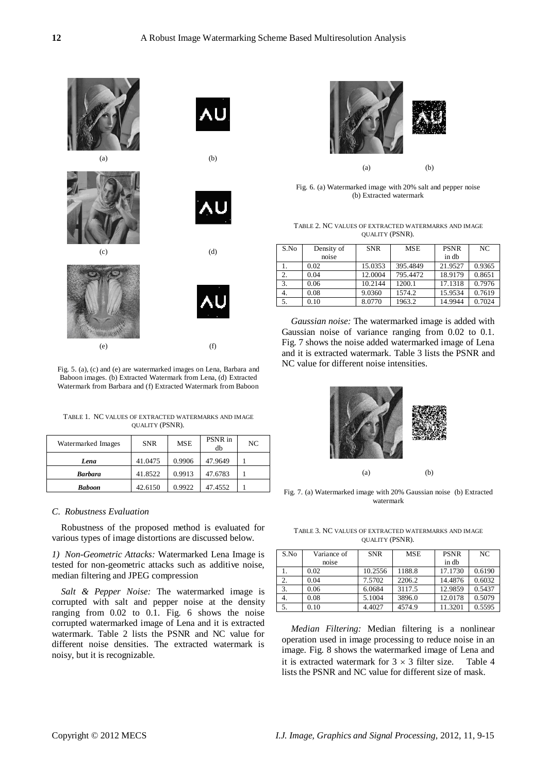

Fig. 5. (a), (c) and (e) are watermarked images on Lena, Barbara and Baboon images. (b) Extracted Watermark from Lena, (d) Extracted Watermark from Barbara and (f) Extracted Watermark from Baboon

TABLE 1. NC VALUES OF EXTRACTED WATERMARKS AND IMAGE QUALITY (PSNR).

| Watermarked Images | <b>SNR</b> | MSE    | PSNR in<br>db | NC |
|--------------------|------------|--------|---------------|----|
| Lena               | 41.0475    | 0.9906 | 47.9649       |    |
| <b>Barbara</b>     | 41.8522    | 0.9913 | 47.6783       |    |
| <b>Baboon</b>      | 42.6150    | 0.9922 | 47.4552       |    |

## *C. Robustness Evaluation*

Robustness of the proposed method is evaluated for various types of image distortions are discussed below.

*1) Non-Geometric Attacks:* Watermarked Lena Image is tested for non-geometric attacks such as additive noise, median filtering and JPEG compression

*Salt & Pepper Noise:* The watermarked image is corrupted with salt and pepper noise at the density ranging from 0.02 to 0.1. Fig. 6 shows the noise corrupted watermarked image of Lena and it is extracted watermark. Table 2 lists the PSNR and NC value for different noise densities. The extracted watermark is noisy, but it is recognizable.



Fig. 6. (a) Watermarked image with 20% salt and pepper noise (b) Extracted watermark

TABLE 2. NC VALUES OF EXTRACTED WATERMARKS AND IMAGE QUALITY (PSNR).

| S.No | Density of | <b>SNR</b> | <b>MSE</b> | <b>PSNR</b> | NC.    |
|------|------------|------------|------------|-------------|--------|
|      | noise      |            |            | in db       |        |
|      | 0.02       | 15.0353    | 395.4849   | 21.9527     | 0.9365 |
| 2.   | 0.04       | 12.0004    | 795.4472   | 18.9179     | 0.8651 |
| 3.   | 0.06       | 10.2144    | 1200.1     | 17.1318     | 0.7976 |
| 4.   | 0.08       | 9.0360     | 1574.2     | 15.9534     | 0.7619 |
| 5.   | 0.10       | 8.0770     | 1963.2     | 14.9944     | 0.7024 |

*Gaussian noise:* The watermarked image is added with Gaussian noise of variance ranging from 0.02 to 0.1. Fig. 7 shows the noise added watermarked image of Lena and it is extracted watermark. Table 3 lists the PSNR and NC value for different noise intensities.



Fig. 7. (a) Watermarked image with 20% Gaussian noise (b) Extracted watermark

TABLE 3. NC VALUES OF EXTRACTED WATERMARKS AND IMAGE QUALITY (PSNR).

| S.No | Variance of | <b>SNR</b> | <b>MSE</b> | <b>PSNR</b> | NC.    |
|------|-------------|------------|------------|-------------|--------|
|      | noise       |            |            | in db       |        |
|      | 0.02        | 10.2556    | 1188.8     | 17.1730     | 0.6190 |
| 2.   | 0.04        | 7.5702     | 2206.2     | 14.4876     | 0.6032 |
| 3.   | 0.06        | 6.0684     | 3117.5     | 12.9859     | 0.5437 |
| 4.   | 0.08        | 5.1004     | 3896.0     | 12.0178     | 0.5079 |
| 5.   | 0.10        | 4.4027     | 4574.9     | 11.3201     | 0.5595 |

*Median Filtering:* Median filtering is a nonlinear operation used in image processing to reduce noise in an image. Fig. 8 shows the watermarked image of Lena and it is extracted watermark for  $3 \times 3$  filter size. Table 4 lists the PSNR and NC value for different size of mask.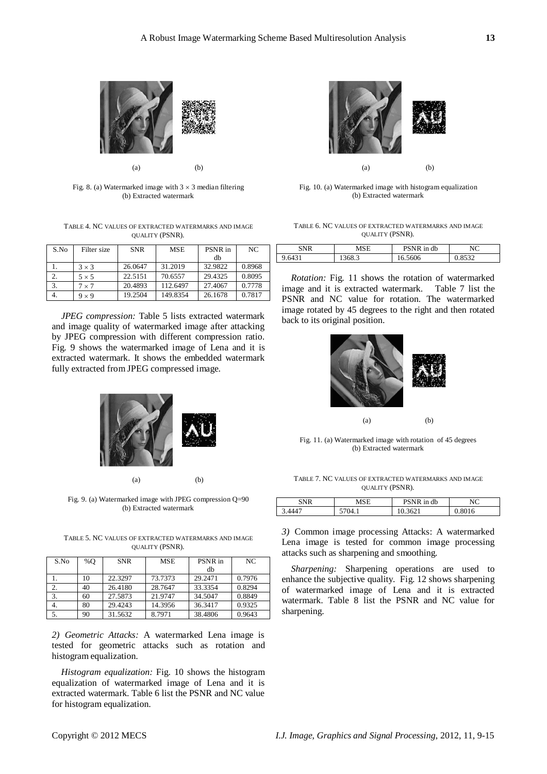

Fig. 8. (a) Watermarked image with  $3 \times 3$  median filtering (b) Extracted watermark

TABLE 4. NC VALUES OF EXTRACTED WATERMARKS AND IMAGE QUALITY (PSNR).

| S.No | Filter size  | <b>SNR</b> | <b>MSE</b> | PSNR in | NC.    |
|------|--------------|------------|------------|---------|--------|
|      |              |            |            | dh      |        |
|      | $3 \times 3$ | 26.0647    | 31.2019    | 32.9822 | 0.8968 |
|      | $5 \times 5$ | 22.5151    | 70.6557    | 29.4325 | 0.8095 |
| 3.   | $7 \times 7$ | 20.4893    | 112.6497   | 27.4067 | 0.7778 |
| 4.   | $9 \times 9$ | 19.2504    | 149.8354   | 26.1678 | 0.7817 |

*JPEG compression:* Table 5 lists extracted watermark and image quality of watermarked image after attacking by JPEG compression with different compression ratio. Fig. 9 shows the watermarked image of Lena and it is extracted watermark. It shows the embedded watermark fully extracted from JPEG compressed image.



Fig. 9. (a) Watermarked image with JPEG compression Q=90 (b) Extracted watermark

TABLE 5. NC VALUES OF EXTRACTED WATERMARKS AND IMAGE QUALITY (PSNR).

| S.No | %O | <b>SNR</b> | <b>MSE</b> | PSNR in | NC.    |
|------|----|------------|------------|---------|--------|
|      |    |            |            | db      |        |
|      | 10 | 22.3297    | 73.7373    | 29.2471 | 0.7976 |
| 2.   | 40 | 26.4180    | 28.7647    | 33.3354 | 0.8294 |
| 3.   | 60 | 27.5873    | 21.9747    | 34.5047 | 0.8849 |
| 4.   | 80 | 29.4243    | 14.3956    | 36.3417 | 0.9325 |
|      | 90 | 31.5632    | 8.7971     | 38.4806 | 0.9643 |

*2) Geometric Attacks:* A watermarked Lena image is tested for geometric attacks such as rotation and histogram equalization.

*Histogram equalization:* Fig. 10 shows the histogram equalization of watermarked image of Lena and it is extracted watermark. Table 6 list the PSNR and NC value for histogram equalization.



Fig. 10. (a) Watermarked image with histogram equalization (b) Extracted watermark

| TABLE 6. NC VALUES OF EXTRACTED WATERMARKS AND IMAGE |  |  |  |  |
|------------------------------------------------------|--|--|--|--|
| <b>QUALITY (PSNR).</b>                               |  |  |  |  |

| SNR | MSE    | DCATD<br>in db         | $\mathbf{M}$ |
|-----|--------|------------------------|--------------|
|     | 1900.J | 606<br>$\cup$ . $\cup$ | $\sim$       |

*Rotation:* Fig. 11 shows the rotation of watermarked image and it is extracted watermark. Table 7 list the PSNR and NC value for rotation. The watermarked image rotated by 45 degrees to the right and then rotated back to its original position.



Fig. 11. (a) Watermarked image with rotation of 45 degrees (b) Extracted watermark

TABLE 7. NC VALUES OF EXTRACTED WATERMARKS AND IMAGE QUALITY (PSNR).

| <b>CNID</b>     | MSE        | in db | חז     |
|-----------------|------------|-------|--------|
| $, 444^{\circ}$ | 74<br>∪⊤.⊥ | 3621  | 1.8016 |

*3)* Common image processing Attacks: A watermarked Lena image is tested for common image processing attacks such as sharpening and smoothing.

*Sharpening:* Sharpening operations are used to enhance the subjective quality. Fig. 12 shows sharpening of watermarked image of Lena and it is extracted watermark. Table 8 list the PSNR and NC value for sharpening.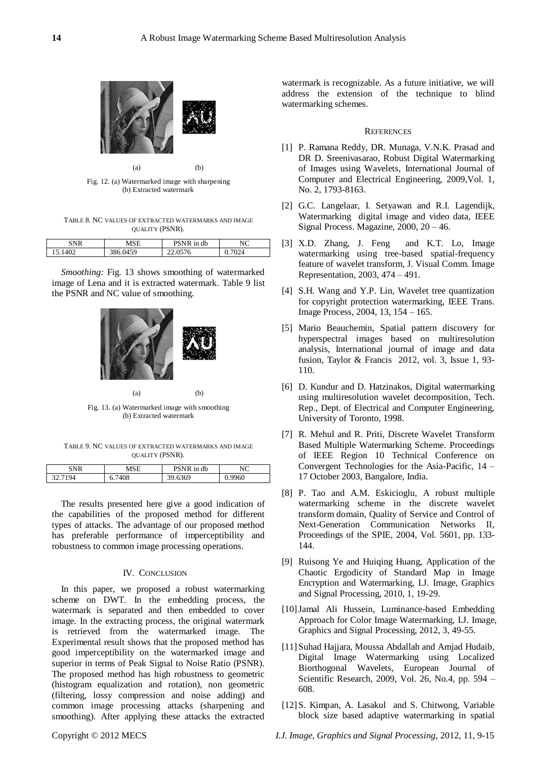

Fig. 12. (a) Watermarked image with sharpening (b) Extracted watermark

TABLE 8. NC VALUES OF EXTRACTED WATERMARKS AND IMAGE QUALITY (PSNR).

| SNR  | MCE                 | PSNR in db     | NIC<br>чU     |
|------|---------------------|----------------|---------------|
| 1402 | 150<br>$\mathbf{U}$ | 0576<br>-- - - | $\gamma_{24}$ |

*Smoothing:* Fig. 13 shows smoothing of watermarked image of Lena and it is extracted watermark. Table 9 list the PSNR and NC value of smoothing.



Fig. 13. (a) Watermarked image with smoothing (b) Extracted watermark

TABLE 9. NC VALUES OF EXTRACTED WATERMARKS AND IMAGE QUALITY (PSNR).

| 'NR     | MSE    | PSNR in db | NC     |
|---------|--------|------------|--------|
| 32.7194 | 6.7408 | 39.6369    | 0.9960 |

The results presented here give a good indication of the capabilities of the proposed method for different types of attacks. The advantage of our proposed method has preferable performance of imperceptibility and robustness to common image processing operations.

## IV. CONCLUSION

In this paper, we proposed a robust watermarking scheme on DWT. In the embedding process, the watermark is separated and then embedded to cover image. In the extracting process, the original watermark is retrieved from the watermarked image. The Experimental result shows that the proposed method has good imperceptibility on the watermarked image and superior in terms of Peak Signal to Noise Ratio (PSNR). The proposed method has high robustness to geometric (histogram equalization and rotation), non geometric (filtering, lossy compression and noise adding) and common image processing attacks (sharpening and smoothing). After applying these attacks the extracted

watermark is recognizable. As a future initiative, we will address the extension of the technique to blind watermarking schemes.

#### **REFERENCES**

- [1] P. Ramana Reddy, DR. Munaga, V.N.K. Prasad and DR D. Sreenivasarao, Robust Digital Watermarking of Images using Wavelets, International Journal of Computer and Electrical Engineering, 2009,Vol. 1, No. 2, 1793-8163.
- [2] G.C. Langelaar, I. Setyawan and R.I. Lagendijk, Watermarking digital image and video data, IEEE Signal Process. Magazine, 2000, 20 – 46.
- [3] X.D. Zhang, J. Feng and K.T. Lo, Image watermarking using tree-based spatial-frequency feature of wavelet transform, J. Visual Comm. Image Representation, 2003, 474 – 491.
- [4] S.H. Wang and Y.P. Lin, Wavelet tree quantization for copyright protection watermarking, IEEE Trans. Image Process, 2004, 13, 154 – 165.
- [5] Mario Beauchemin, Spatial pattern discovery for hyperspectral images based on multiresolution analysis, International journal of image and data fusion, Taylor & Francis 2012, vol. 3, Issue 1, 93- 110.
- [6] D. Kundur and D. Hatzinakos, Digital watermarking using multiresolution wavelet decomposition, Tech. Rep., Dept. of Electrical and Computer Engineering, University of Toronto, 1998.
- [7] R. Mehul and R. Priti, Discrete Wavelet Transform Based Multiple Watermarking Scheme. Proceedings of IEEE Region 10 Technical Conference on Convergent Technologies for the Asia-Pacific, 14 – 17 October 2003, Bangalore, India.
- [8] P. Tao and A.M. Eskicioglu, A robust multiple watermarking scheme in the discrete wavelet transform domain, Quality of Service and Control of Next-Generation Communication Networks II, Proceedings of the SPIE, 2004, Vol. 5601, pp. 133- 144.
- [9] Ruisong Ye and Huiqing Huang, Application of the Chaotic Ergodicity of Standard Map in Image Encryption and Watermarking, I.J. Image, Graphics and Signal Processing, 2010, 1, 19-29.
- [10]Jamal Ali Hussein, Luminance-based Embedding Approach for Color Image Watermarking, I.J. Image, Graphics and Signal Processing, 2012, 3, 49-55.
- [11]Suhad Hajjara, Moussa Abdallah and Amjad Hudaib, Digital Image Watermarking using Localized Biorthogonal Wavelets, European Journal of Scientific Research, 2009, Vol. 26, No.4, pp. 594 – 608.
- [12]S. Kimpan, A. Lasakul and S. Chitwong, Variable block size based adaptive watermarking in spatial